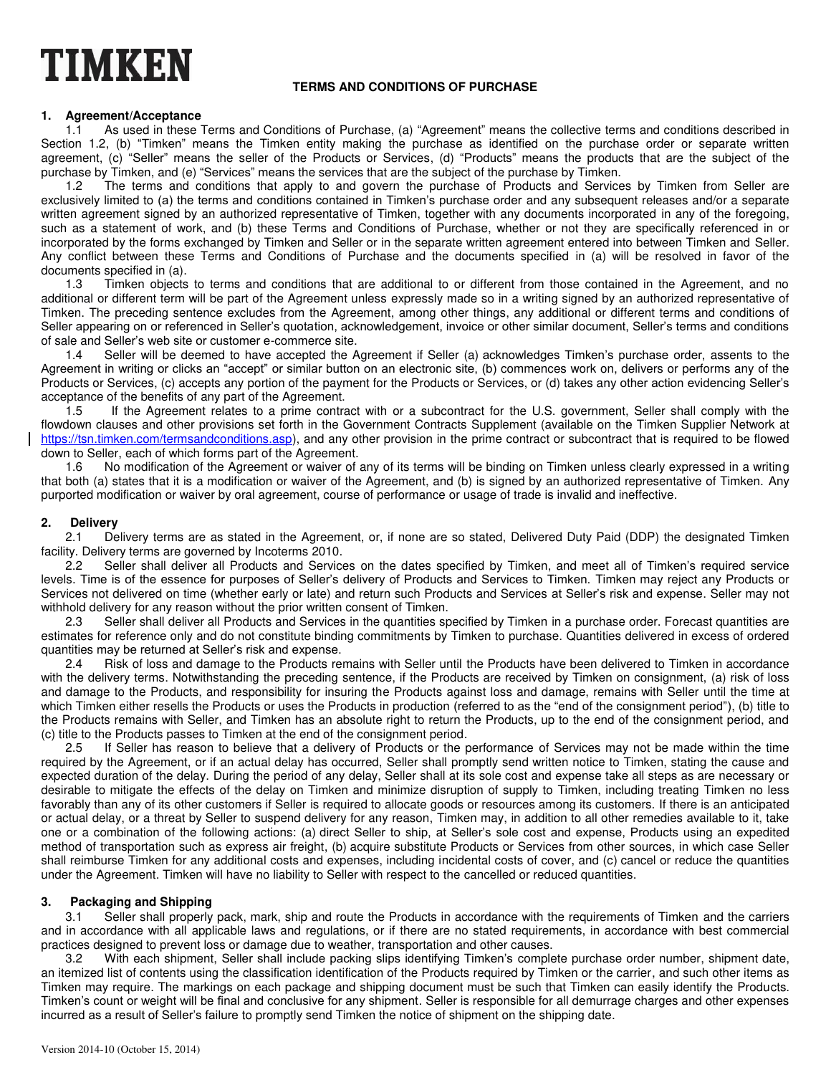# **TIMKEN**

### **TERMS AND CONDITIONS OF PURCHASE**

#### **1. Agreement/Acceptance**

1.1 As used in these Terms and Conditions of Purchase, (a) "Agreement" means the collective terms and conditions described in Section 1.2, (b) "Timken" means the Timken entity making the purchase as identified on the purchase order or separate written agreement, (c) "Seller" means the seller of the Products or Services, (d) "Products" means the products that are the subject of the purchase by Timken, and (e) "Services" means the services that are the subject of the purchase by Timken.<br>1.2 The terms and conditions that apply to and govern the purchase of Products and Service

The terms and conditions that apply to and govern the purchase of Products and Services by Timken from Seller are exclusively limited to (a) the terms and conditions contained in Timken's purchase order and any subsequent releases and/or a separate written agreement signed by an authorized representative of Timken, together with any documents incorporated in any of the foregoing, such as a statement of work, and (b) these Terms and Conditions of Purchase, whether or not they are specifically referenced in or incorporated by the forms exchanged by Timken and Seller or in the separate written agreement entered into between Timken and Seller. Any conflict between these Terms and Conditions of Purchase and the documents specified in (a) will be resolved in favor of the

documents specified in (a).<br>1.3 Timken objects Timken objects to terms and conditions that are additional to or different from those contained in the Agreement, and no additional or different term will be part of the Agreement unless expressly made so in a writing signed by an authorized representative of Timken. The preceding sentence excludes from the Agreement, among other things, any additional or different terms and conditions of Seller appearing on or referenced in Seller's quotation, acknowledgement, invoice or other similar document, Seller's terms and conditions of sale and Seller's web site or customer e-commerce site.

1.4 Seller will be deemed to have accepted the Agreement if Seller (a) acknowledges Timken's purchase order, assents to the Agreement in writing or clicks an "accept" or similar button on an electronic site, (b) commences work on, delivers or performs any of the Products or Services, (c) accepts any portion of the payment for the Products or Services, or (d) takes any other action evidencing Seller's acceptance of the benefits of any part of the Agreement.

1.5 If the Agreement relates to a prime contract with or a subcontract for the U.S. government, Seller shall comply with the flowdown clauses and other provisions set forth in the Government Contracts Supplement (available on the Timken Supplier Network at [https://tsn.timken.com/termsandconditions.asp\)](https://tsn.timken.com/termsandconditions.asp), and any other provision in the prime contract or subcontract that is required to be flowed down to Seller, each of which forms part of the Agreement.

1.6 No modification of the Agreement or waiver of any of its terms will be binding on Timken unless clearly expressed in a writing that both (a) states that it is a modification or waiver of the Agreement, and (b) is signed by an authorized representative of Timken. Any purported modification or waiver by oral agreement, course of performance or usage of trade is invalid and ineffective.

### **2. Delivery**

2.1 Delivery terms are as stated in the Agreement, or, if none are so stated, Delivered Duty Paid (DDP) the designated Timken facility. Delivery terms are governed by Incoterms 2010.

2.2 Seller shall deliver all Products and Services on the dates specified by Timken, and meet all of Timken's required service levels. Time is of the essence for purposes of Seller's delivery of Products and Services to Timken. Timken may reject any Products or Services not delivered on time (whether early or late) and return such Products and Services at Seller's risk and expense. Seller may not withhold delivery for any reason without the prior written consent of Timken.

2.3 Seller shall deliver all Products and Services in the quantities specified by Timken in a purchase order. Forecast quantities are estimates for reference only and do not constitute binding commitments by Timken to purchase. Quantities delivered in excess of ordered quantities may be returned at Seller's risk and expense.<br>2.4 Bisk of loss and damage to the Products re

Risk of loss and damage to the Products remains with Seller until the Products have been delivered to Timken in accordance with the delivery terms. Notwithstanding the preceding sentence, if the Products are received by Timken on consignment, (a) risk of loss and damage to the Products, and responsibility for insuring the Products against loss and damage, remains with Seller until the time at which Timken either resells the Products or uses the Products in production (referred to as the "end of the consignment period"), (b) title to the Products remains with Seller, and Timken has an absolute right to return the Products, up to the end of the consignment period, and (c) title to the Products passes to Timken at the end of the consignment period.

2.5 If Seller has reason to believe that a delivery of Products or the performance of Services may not be made within the time required by the Agreement, or if an actual delay has occurred, Seller shall promptly send written notice to Timken, stating the cause and expected duration of the delay. During the period of any delay, Seller shall at its sole cost and expense take all steps as are necessary or desirable to mitigate the effects of the delay on Timken and minimize disruption of supply to Timken, including treating Timken no less favorably than any of its other customers if Seller is required to allocate goods or resources among its customers. If there is an anticipated or actual delay, or a threat by Seller to suspend delivery for any reason, Timken may, in addition to all other remedies available to it, take one or a combination of the following actions: (a) direct Seller to ship, at Seller's sole cost and expense, Products using an expedited method of transportation such as express air freight, (b) acquire substitute Products or Services from other sources, in which case Seller shall reimburse Timken for any additional costs and expenses, including incidental costs of cover, and (c) cancel or reduce the quantities under the Agreement. Timken will have no liability to Seller with respect to the cancelled or reduced quantities.

#### **3. Packaging and Shipping**

Seller shall properly pack, mark, ship and route the Products in accordance with the requirements of Timken and the carriers and in accordance with all applicable laws and regulations, or if there are no stated requirements, in accordance with best commercial practices designed to prevent loss or damage due to weather, transportation and other causes.

3.2 With each shipment, Seller shall include packing slips identifying Timken's complete purchase order number, shipment date, an itemized list of contents using the classification identification of the Products required by Timken or the carrier, and such other items as Timken may require. The markings on each package and shipping document must be such that Timken can easily identify the Products. Timken's count or weight will be final and conclusive for any shipment. Seller is responsible for all demurrage charges and other expenses incurred as a result of Seller's failure to promptly send Timken the notice of shipment on the shipping date.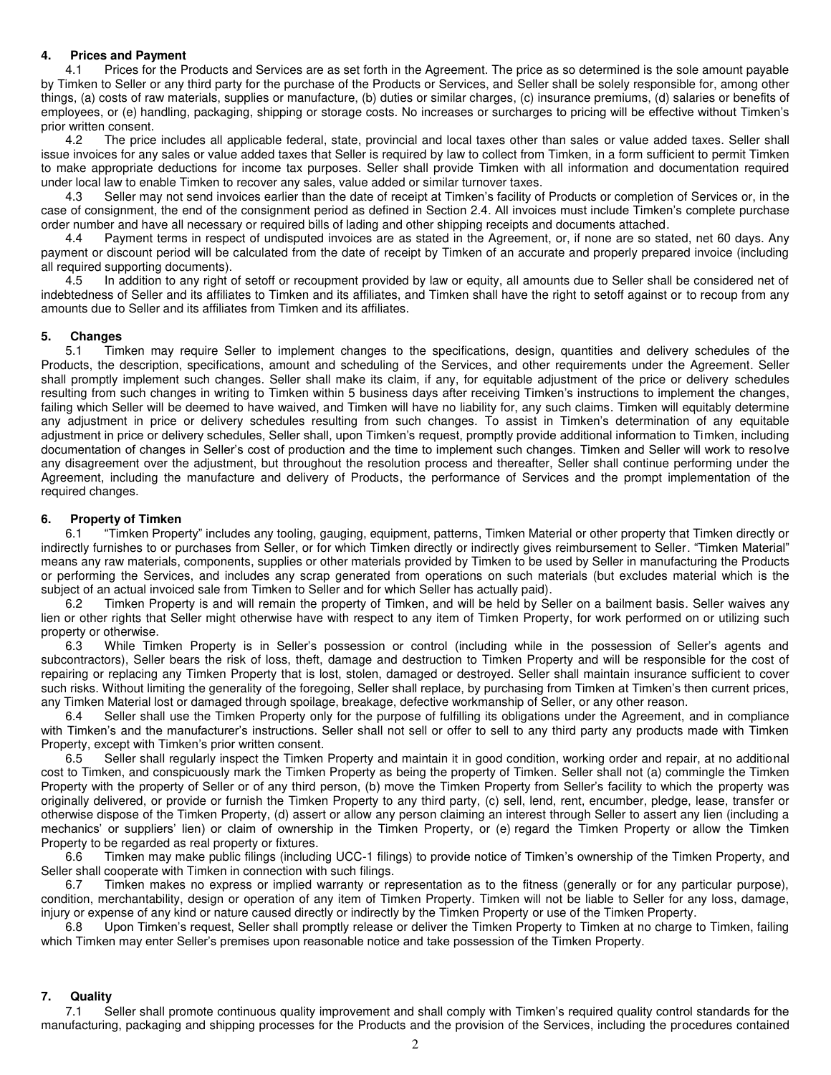#### **4. Prices and Payment**

4.1 Prices for the Products and Services are as set forth in the Agreement. The price as so determined is the sole amount payable by Timken to Seller or any third party for the purchase of the Products or Services, and Seller shall be solely responsible for, among other things, (a) costs of raw materials, supplies or manufacture, (b) duties or similar charges, (c) insurance premiums, (d) salaries or benefits of employees, or (e) handling, packaging, shipping or storage costs. No increases or surcharges to pricing will be effective without Timken's prior written consent.

4.2 The price includes all applicable federal, state, provincial and local taxes other than sales or value added taxes. Seller shall issue invoices for any sales or value added taxes that Seller is required by law to collect from Timken, in a form sufficient to permit Timken to make appropriate deductions for income tax purposes. Seller shall provide Timken with all information and documentation required under local law to enable Timken to recover any sales, value added or similar turnover taxes.

4.3 Seller may not send invoices earlier than the date of receipt at Timken's facility of Products or completion of Services or, in the case of consignment, the end of the consignment period as defined in Section 2.4. All invoices must include Timken's complete purchase order number and have all necessary or required bills of lading and other shipping receipts and documents attached.

4.4 Payment terms in respect of undisputed invoices are as stated in the Agreement, or, if none are so stated, net 60 days. Any payment or discount period will be calculated from the date of receipt by Timken of an accurate and properly prepared invoice (including all required supporting documents).

4.5 In addition to any right of setoff or recoupment provided by law or equity, all amounts due to Seller shall be considered net of indebtedness of Seller and its affiliates to Timken and its affiliates, and Timken shall have the right to setoff against or to recoup from any amounts due to Seller and its affiliates from Timken and its affiliates.

#### **5. Changes**

5.1 Timken may require Seller to implement changes to the specifications, design, quantities and delivery schedules of the Products, the description, specifications, amount and scheduling of the Services, and other requirements under the Agreement. Seller shall promptly implement such changes. Seller shall make its claim, if any, for equitable adjustment of the price or delivery schedules resulting from such changes in writing to Timken within 5 business days after receiving Timken's instructions to implement the changes, failing which Seller will be deemed to have waived, and Timken will have no liability for, any such claims. Timken will equitably determine any adjustment in price or delivery schedules resulting from such changes. To assist in Timken's determination of any equitable adjustment in price or delivery schedules, Seller shall, upon Timken's request, promptly provide additional information to Timken, including documentation of changes in Seller's cost of production and the time to implement such changes. Timken and Seller will work to resolve any disagreement over the adjustment, but throughout the resolution process and thereafter, Seller shall continue performing under the Agreement, including the manufacture and delivery of Products, the performance of Services and the prompt implementation of the required changes.

#### **6. Property of Timken**

6.1 "Timken Property" includes any tooling, gauging, equipment, patterns, Timken Material or other property that Timken directly or indirectly furnishes to or purchases from Seller, or for which Timken directly or indirectly gives reimbursement to Seller. "Timken Material" means any raw materials, components, supplies or other materials provided by Timken to be used by Seller in manufacturing the Products or performing the Services, and includes any scrap generated from operations on such materials (but excludes material which is the subject of an actual invoiced sale from Timken to Seller and for which Seller has actually paid).

6.2 Timken Property is and will remain the property of Timken, and will be held by Seller on a bailment basis. Seller waives any lien or other rights that Seller might otherwise have with respect to any item of Timken Property, for work performed on or utilizing such property or otherwise.

6.3 While Timken Property is in Seller's possession or control (including while in the possession of Seller's agents and subcontractors), Seller bears the risk of loss, theft, damage and destruction to Timken Property and will be responsible for the cost of repairing or replacing any Timken Property that is lost, stolen, damaged or destroyed. Seller shall maintain insurance sufficient to cover such risks. Without limiting the generality of the foregoing, Seller shall replace, by purchasing from Timken at Timken's then current prices, any Timken Material lost or damaged through spoilage, breakage, defective workmanship of Seller, or any other reason.

6.4 Seller shall use the Timken Property only for the purpose of fulfilling its obligations under the Agreement, and in compliance with Timken's and the manufacturer's instructions. Seller shall not sell or offer to sell to any third party any products made with Timken Property, except with Timken's prior written consent.

6.5 Seller shall regularly inspect the Timken Property and maintain it in good condition, working order and repair, at no additional cost to Timken, and conspicuously mark the Timken Property as being the property of Timken. Seller shall not (a) commingle the Timken Property with the property of Seller or of any third person, (b) move the Timken Property from Seller's facility to which the property was originally delivered, or provide or furnish the Timken Property to any third party, (c) sell, lend, rent, encumber, pledge, lease, transfer or otherwise dispose of the Timken Property, (d) assert or allow any person claiming an interest through Seller to assert any lien (including a mechanics' or suppliers' lien) or claim of ownership in the Timken Property, or (e) regard the Timken Property or allow the Timken Property to be regarded as real property or fixtures.

6.6 Timken may make public filings (including UCC-1 filings) to provide notice of Timken's ownership of the Timken Property, and Seller shall cooperate with Timken in connection with such filings.

6.7 Timken makes no express or implied warranty or representation as to the fitness (generally or for any particular purpose), condition, merchantability, design or operation of any item of Timken Property. Timken will not be liable to Seller for any loss, damage, injury or expense of any kind or nature caused directly or indirectly by the Timken Property or use of the Timken Property.

6.8 Upon Timken's request, Seller shall promptly release or deliver the Timken Property to Timken at no charge to Timken, failing which Timken may enter Seller's premises upon reasonable notice and take possession of the Timken Property.

#### **7. Quality**

7.1 Seller shall promote continuous quality improvement and shall comply with Timken's required quality control standards for the manufacturing, packaging and shipping processes for the Products and the provision of the Services, including the procedures contained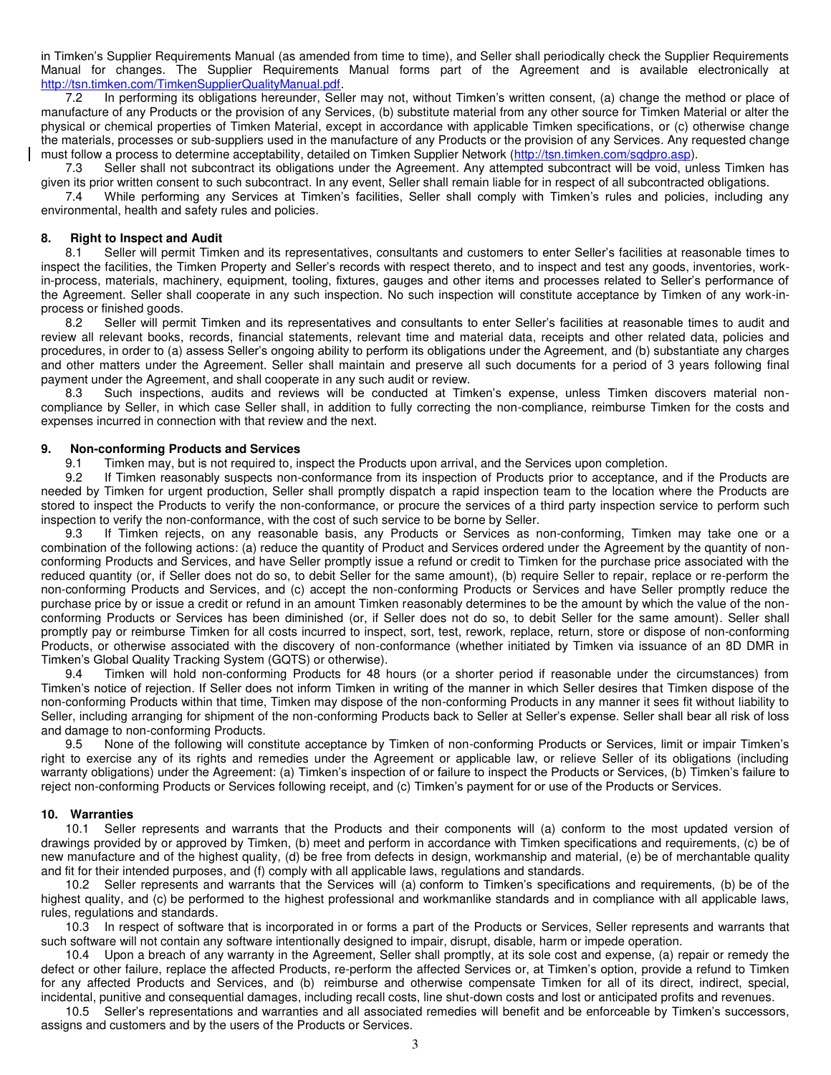in Timken's Supplier Requirements Manual (as amended from time to time), and Seller shall periodically check the Supplier Requirements Manual for changes. The Supplier Requirements Manual forms part of the Agreement and is available electronically at [http://tsn.timken.com/TimkenSupplierQualityManual.pdf.](http://tsn.timken.com/TimkenSupplierQualityManual.pdf)

7.2 In performing its obligations hereunder, Seller may not, without Timken's written consent, (a) change the method or place of manufacture of any Products or the provision of any Services, (b) substitute material from any other source for Timken Material or alter the physical or chemical properties of Timken Material, except in accordance with applicable Timken specifications, or (c) otherwise change the materials, processes or sub-suppliers used in the manufacture of any Products or the provision of any Services. Any requested change must follow a process to determine acceptability, detailed on Timken Supplier Network [\(http://tsn.timken.com/sqdpro.asp\)](http://tsn.timken.com/sqdpro.asp).

7.3 Seller shall not subcontract its obligations under the Agreement. Any attempted subcontract will be void, unless Timken has given its prior written consent to such subcontract. In any event, Seller shall remain liable for in respect of all subcontracted obligations.

7.4 While performing any Services at Timken's facilities, Seller shall comply with Timken's rules and policies, including any environmental, health and safety rules and policies.

## **8.** Right to Inspect and Audit **8.1** Seller will permit Timk

Seller will permit Timken and its representatives, consultants and customers to enter Seller's facilities at reasonable times to inspect the facilities, the Timken Property and Seller's records with respect thereto, and to inspect and test any goods, inventories, workin-process, materials, machinery, equipment, tooling, fixtures, gauges and other items and processes related to Seller's performance of the Agreement. Seller shall cooperate in any such inspection. No such inspection will constitute acceptance by Timken of any work-inprocess or finished goods.<br>8.2 Seller will pern

Seller will permit Timken and its representatives and consultants to enter Seller's facilities at reasonable times to audit and review all relevant books, records, financial statements, relevant time and material data, receipts and other related data, policies and procedures, in order to (a) assess Seller's ongoing ability to perform its obligations under the Agreement, and (b) substantiate any charges and other matters under the Agreement. Seller shall maintain and preserve all such documents for a period of 3 years following final payment under the Agreement, and shall cooperate in any such audit or review.

8.3 Such inspections, audits and reviews will be conducted at Timken's expense, unless Timken discovers material noncompliance by Seller, in which case Seller shall, in addition to fully correcting the non-compliance, reimburse Timken for the costs and expenses incurred in connection with that review and the next.

## **9. Non-conforming Products and Services**

9.1 Timken may, but is not required to, inspect the Products upon arrival, and the Services upon completion.<br>9.2 If Timken reasonably suspects non-conformance from its inspection of Products prior to acceptance, an

If Timken reasonably suspects non-conformance from its inspection of Products prior to acceptance, and if the Products are needed by Timken for urgent production, Seller shall promptly dispatch a rapid inspection team to the location where the Products are stored to inspect the Products to verify the non-conformance, or procure the services of a third party inspection service to perform such inspection to verify the non-conformance, with the cost of such service to be borne by Seller.

9.3 If Timken rejects, on any reasonable basis, any Products or Services as non-conforming, Timken may take one or a combination of the following actions: (a) reduce the quantity of Product and Services ordered under the Agreement by the quantity of nonconforming Products and Services, and have Seller promptly issue a refund or credit to Timken for the purchase price associated with the reduced quantity (or, if Seller does not do so, to debit Seller for the same amount), (b) require Seller to repair, replace or re-perform the non-conforming Products and Services, and (c) accept the non-conforming Products or Services and have Seller promptly reduce the purchase price by or issue a credit or refund in an amount Timken reasonably determines to be the amount by which the value of the nonconforming Products or Services has been diminished (or, if Seller does not do so, to debit Seller for the same amount). Seller shall promptly pay or reimburse Timken for all costs incurred to inspect, sort, test, rework, replace, return, store or dispose of non-conforming Products, or otherwise associated with the discovery of non-conformance (whether initiated by Timken via issuance of an 8D DMR in Timken's Global Quality Tracking System (GQTS) or otherwise).

9.4 Timken will hold non-conforming Products for 48 hours (or a shorter period if reasonable under the circumstances) from Timken's notice of rejection. If Seller does not inform Timken in writing of the manner in which Seller desires that Timken dispose of the non-conforming Products within that time, Timken may dispose of the non-conforming Products in any manner it sees fit without liability to Seller, including arranging for shipment of the non-conforming Products back to Seller at Seller's expense. Seller shall bear all risk of loss and damage to non-conforming Products.

9.5 None of the following will constitute acceptance by Timken of non-conforming Products or Services, limit or impair Timken's right to exercise any of its rights and remedies under the Agreement or applicable law, or relieve Seller of its obligations (including warranty obligations) under the Agreement: (a) Timken's inspection of or failure to inspect the Products or Services, (b) Timken's failure to reject non-conforming Products or Services following receipt, and (c) Timken's payment for or use of the Products or Services.

#### **10. Warranties**

10.1 Seller represents and warrants that the Products and their components will (a) conform to the most updated version of drawings provided by or approved by Timken, (b) meet and perform in accordance with Timken specifications and requirements, (c) be of new manufacture and of the highest quality, (d) be free from defects in design, workmanship and material, (e) be of merchantable quality and fit for their intended purposes, and (f) comply with all applicable laws, regulations and standards.

10.2 Seller represents and warrants that the Services will (a) conform to Timken's specifications and requirements, (b) be of the highest quality, and (c) be performed to the highest professional and workmanlike standards and in compliance with all applicable laws, rules, regulations and standards.

10.3 In respect of software that is incorporated in or forms a part of the Products or Services, Seller represents and warrants that such software will not contain any software intentionally designed to impair, disrupt, disable, harm or impede operation.

10.4 Upon a breach of any warranty in the Agreement, Seller shall promptly, at its sole cost and expense, (a) repair or remedy the defect or other failure, replace the affected Products, re-perform the affected Services or, at Timken's option, provide a refund to Timken for any affected Products and Services, and (b) reimburse and otherwise compensate Timken for all of its direct, indirect, special, incidental, punitive and consequential damages, including recall costs, line shut-down costs and lost or anticipated profits and revenues.

10.5 Seller's representations and warranties and all associated remedies will benefit and be enforceable by Timken's successors, assigns and customers and by the users of the Products or Services.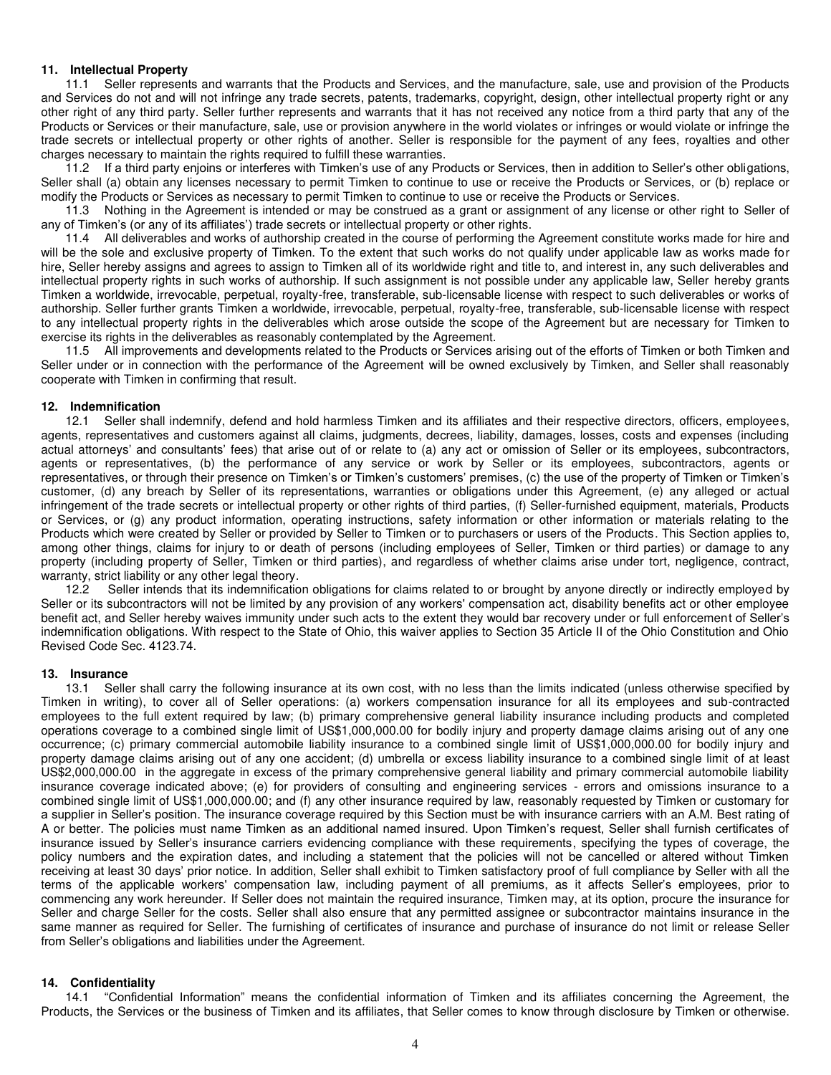#### **11. Intellectual Property**

11.1 Seller represents and warrants that the Products and Services, and the manufacture, sale, use and provision of the Products and Services do not and will not infringe any trade secrets, patents, trademarks, copyright, design, other intellectual property right or any other right of any third party. Seller further represents and warrants that it has not received any notice from a third party that any of the Products or Services or their manufacture, sale, use or provision anywhere in the world violates or infringes or would violate or infringe the trade secrets or intellectual property or other rights of another. Seller is responsible for the payment of any fees, royalties and other charges necessary to maintain the rights required to fulfill these warranties.

11.2 If a third party enjoins or interferes with Timken's use of any Products or Services, then in addition to Seller's other obligations, Seller shall (a) obtain any licenses necessary to permit Timken to continue to use or receive the Products or Services, or (b) replace or modify the Products or Services as necessary to permit Timken to continue to use or receive the Products or Services.

11.3 Nothing in the Agreement is intended or may be construed as a grant or assignment of any license or other right to Seller of any of Timken's (or any of its affiliates') trade secrets or intellectual property or other rights.

11.4 All deliverables and works of authorship created in the course of performing the Agreement constitute works made for hire and will be the sole and exclusive property of Timken. To the extent that such works do not qualify under applicable law as works made for hire, Seller hereby assigns and agrees to assign to Timken all of its worldwide right and title to, and interest in, any such deliverables and intellectual property rights in such works of authorship. If such assignment is not possible under any applicable law, Seller hereby grants Timken a worldwide, irrevocable, perpetual, royalty-free, transferable, sub-licensable license with respect to such deliverables or works of authorship. Seller further grants Timken a worldwide, irrevocable, perpetual, royalty-free, transferable, sub-licensable license with respect to any intellectual property rights in the deliverables which arose outside the scope of the Agreement but are necessary for Timken to exercise its rights in the deliverables as reasonably contemplated by the Agreement.

11.5 All improvements and developments related to the Products or Services arising out of the efforts of Timken or both Timken and Seller under or in connection with the performance of the Agreement will be owned exclusively by Timken, and Seller shall reasonably cooperate with Timken in confirming that result.

#### **12. Indemnification**

12.1 Seller shall indemnify, defend and hold harmless Timken and its affiliates and their respective directors, officers, employees, agents, representatives and customers against all claims, judgments, decrees, liability, damages, losses, costs and expenses (including actual attorneys' and consultants' fees) that arise out of or relate to (a) any act or omission of Seller or its employees, subcontractors, agents or representatives, (b) the performance of any service or work by Seller or its employees, subcontractors, agents or representatives, or through their presence on Timken's or Timken's customers' premises, (c) the use of the property of Timken or Timken's customer, (d) any breach by Seller of its representations, warranties or obligations under this Agreement, (e) any alleged or actual infringement of the trade secrets or intellectual property or other rights of third parties, (f) Seller-furnished equipment, materials, Products or Services, or (g) any product information, operating instructions, safety information or other information or materials relating to the Products which were created by Seller or provided by Seller to Timken or to purchasers or users of the Products. This Section applies to, among other things, claims for injury to or death of persons (including employees of Seller, Timken or third parties) or damage to any property (including property of Seller, Timken or third parties), and regardless of whether claims arise under tort, negligence, contract, warranty, strict liability or any other legal theory.

12.2 Seller intends that its indemnification obligations for claims related to or brought by anyone directly or indirectly employed by Seller or its subcontractors will not be limited by any provision of any workers' compensation act, disability benefits act or other employee benefit act, and Seller hereby waives immunity under such acts to the extent they would bar recovery under or full enforcement of Seller's indemnification obligations. With respect to the State of Ohio, this waiver applies to Section 35 Article II of the Ohio Constitution and Ohio Revised Code Sec. 4123.74.

#### **13. Insurance**

13.1 Seller shall carry the following insurance at its own cost, with no less than the limits indicated (unless otherwise specified by Timken in writing), to cover all of Seller operations: (a) workers compensation insurance for all its employees and sub-contracted employees to the full extent required by law; (b) primary comprehensive general liability insurance including products and completed operations coverage to a combined single limit of US\$1,000,000.00 for bodily injury and property damage claims arising out of any one occurrence; (c) primary commercial automobile liability insurance to a combined single limit of US\$1,000,000.00 for bodily injury and property damage claims arising out of any one accident; (d) umbrella or excess liability insurance to a combined single limit of at least US\$2,000,000.00 in the aggregate in excess of the primary comprehensive general liability and primary commercial automobile liability insurance coverage indicated above; (e) for providers of consulting and engineering services - errors and omissions insurance to a combined single limit of US\$1,000,000.00; and (f) any other insurance required by law, reasonably requested by Timken or customary for a supplier in Seller's position. The insurance coverage required by this Section must be with insurance carriers with an A.M. Best rating of A or better. The policies must name Timken as an additional named insured. Upon Timken's request, Seller shall furnish certificates of insurance issued by Seller's insurance carriers evidencing compliance with these requirements, specifying the types of coverage, the policy numbers and the expiration dates, and including a statement that the policies will not be cancelled or altered without Timken receiving at least 30 days' prior notice. In addition, Seller shall exhibit to Timken satisfactory proof of full compliance by Seller with all the terms of the applicable workers' compensation law, including payment of all premiums, as it affects Seller's employees, prior to commencing any work hereunder. If Seller does not maintain the required insurance, Timken may, at its option, procure the insurance for Seller and charge Seller for the costs. Seller shall also ensure that any permitted assignee or subcontractor maintains insurance in the same manner as required for Seller. The furnishing of certificates of insurance and purchase of insurance do not limit or release Seller from Seller's obligations and liabilities under the Agreement.

**14. Confidentiality**<br>14.1 "Confident 14.1 "Confidential Information" means the confidential information of Timken and its affiliates concerning the Agreement, the Products, the Services or the business of Timken and its affiliates, that Seller comes to know through disclosure by Timken or otherwise.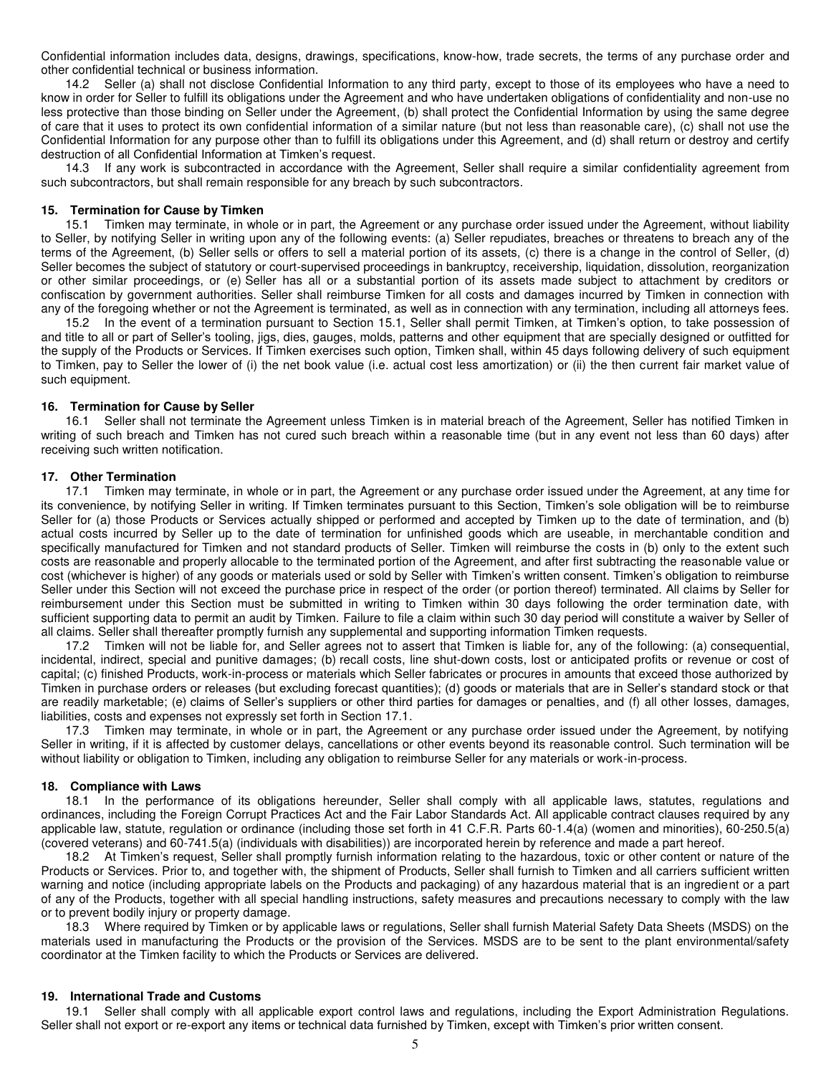Confidential information includes data, designs, drawings, specifications, know-how, trade secrets, the terms of any purchase order and other confidential technical or business information.

14.2 Seller (a) shall not disclose Confidential Information to any third party, except to those of its employees who have a need to know in order for Seller to fulfill its obligations under the Agreement and who have undertaken obligations of confidentiality and non-use no less protective than those binding on Seller under the Agreement, (b) shall protect the Confidential Information by using the same degree of care that it uses to protect its own confidential information of a similar nature (but not less than reasonable care), (c) shall not use the Confidential Information for any purpose other than to fulfill its obligations under this Agreement, and (d) shall return or destroy and certify destruction of all Confidential Information at Timken's request.

14.3 If any work is subcontracted in accordance with the Agreement, Seller shall require a similar confidentiality agreement from such subcontractors, but shall remain responsible for any breach by such subcontractors.

#### **15. Termination for Cause by Timken**

15.1 Timken may terminate, in whole or in part, the Agreement or any purchase order issued under the Agreement, without liability to Seller, by notifying Seller in writing upon any of the following events: (a) Seller repudiates, breaches or threatens to breach any of the terms of the Agreement, (b) Seller sells or offers to sell a material portion of its assets, (c) there is a change in the control of Seller, (d) Seller becomes the subject of statutory or court-supervised proceedings in bankruptcy, receivership, liquidation, dissolution, reorganization or other similar proceedings, or (e) Seller has all or a substantial portion of its assets made subject to attachment by creditors or confiscation by government authorities. Seller shall reimburse Timken for all costs and damages incurred by Timken in connection with any of the foregoing whether or not the Agreement is terminated, as well as in connection with any termination, including all attorneys fees.

15.2 In the event of a termination pursuant to Section 15.1, Seller shall permit Timken, at Timken's option, to take possession of and title to all or part of Seller's tooling, jigs, dies, gauges, molds, patterns and other equipment that are specially designed or outfitted for the supply of the Products or Services. If Timken exercises such option, Timken shall, within 45 days following delivery of such equipment to Timken, pay to Seller the lower of (i) the net book value (i.e. actual cost less amortization) or (ii) the then current fair market value of such equipment.

#### **16. Termination for Cause by Seller**

16.1 Seller shall not terminate the Agreement unless Timken is in material breach of the Agreement, Seller has notified Timken in writing of such breach and Timken has not cured such breach within a reasonable time (but in any event not less than 60 days) after receiving such written notification.

#### **17. Other Termination**

17.1 Timken may terminate, in whole or in part, the Agreement or any purchase order issued under the Agreement, at any time for its convenience, by notifying Seller in writing. If Timken terminates pursuant to this Section, Timken's sole obligation will be to reimburse Seller for (a) those Products or Services actually shipped or performed and accepted by Timken up to the date of termination, and (b) actual costs incurred by Seller up to the date of termination for unfinished goods which are useable, in merchantable condition and specifically manufactured for Timken and not standard products of Seller. Timken will reimburse the costs in (b) only to the extent such costs are reasonable and properly allocable to the terminated portion of the Agreement, and after first subtracting the reasonable value or cost (whichever is higher) of any goods or materials used or sold by Seller with Timken's written consent. Timken's obligation to reimburse Seller under this Section will not exceed the purchase price in respect of the order (or portion thereof) terminated. All claims by Seller for reimbursement under this Section must be submitted in writing to Timken within 30 days following the order termination date, with sufficient supporting data to permit an audit by Timken. Failure to file a claim within such 30 day period will constitute a waiver by Seller of all claims. Seller shall thereafter promptly furnish any supplemental and supporting information Timken requests.

17.2 Timken will not be liable for, and Seller agrees not to assert that Timken is liable for, any of the following: (a) consequential, incidental, indirect, special and punitive damages; (b) recall costs, line shut-down costs, lost or anticipated profits or revenue or cost of capital; (c) finished Products, work-in-process or materials which Seller fabricates or procures in amounts that exceed those authorized by Timken in purchase orders or releases (but excluding forecast quantities); (d) goods or materials that are in Seller's standard stock or that are readily marketable; (e) claims of Seller's suppliers or other third parties for damages or penalties, and (f) all other losses, damages, liabilities, costs and expenses not expressly set forth in Section 17.1.

17.3 Timken may terminate, in whole or in part, the Agreement or any purchase order issued under the Agreement, by notifying Seller in writing, if it is affected by customer delays, cancellations or other events beyond its reasonable control. Such termination will be without liability or obligation to Timken, including any obligation to reimburse Seller for any materials or work-in-process.

#### **18. Compliance with Laws**

18.1 In the performance of its obligations hereunder, Seller shall comply with all applicable laws, statutes, regulations and ordinances, including the Foreign Corrupt Practices Act and the Fair Labor Standards Act. All applicable contract clauses required by any applicable law, statute, regulation or ordinance (including those set forth in 41 C.F.R. Parts 60-1.4(a) (women and minorities), 60-250.5(a) (covered veterans) and 60-741.5(a) (individuals with disabilities)) are incorporated herein by reference and made a part hereof.

18.2 At Timken's request, Seller shall promptly furnish information relating to the hazardous, toxic or other content or nature of the Products or Services. Prior to, and together with, the shipment of Products, Seller shall furnish to Timken and all carriers sufficient written warning and notice (including appropriate labels on the Products and packaging) of any hazardous material that is an ingredient or a part of any of the Products, together with all special handling instructions, safety measures and precautions necessary to comply with the law or to prevent bodily injury or property damage.

18.3 Where required by Timken or by applicable laws or regulations, Seller shall furnish Material Safety Data Sheets (MSDS) on the materials used in manufacturing the Products or the provision of the Services. MSDS are to be sent to the plant environmental/safety coordinator at the Timken facility to which the Products or Services are delivered.

#### **19. International Trade and Customs**

19.1 Seller shall comply with all applicable export control laws and regulations, including the Export Administration Regulations. Seller shall not export or re-export any items or technical data furnished by Timken, except with Timken's prior written consent.